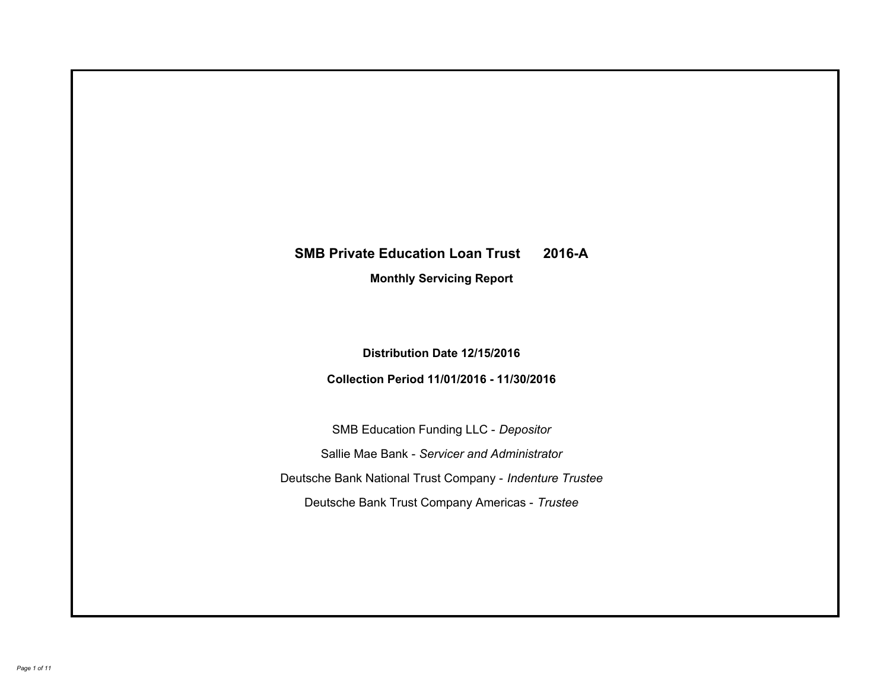# **SMB Private Education Loan Trust 2016-A Monthly Servicing Report**

# **Distribution Date 12/15/2016**

# **Collection Period 11/01/2016 - 11/30/2016**

SMB Education Funding LLC - *Depositor* Sallie Mae Bank - *Servicer and Administrator* Deutsche Bank National Trust Company - *Indenture Trustee* Deutsche Bank Trust Company Americas - *Trustee*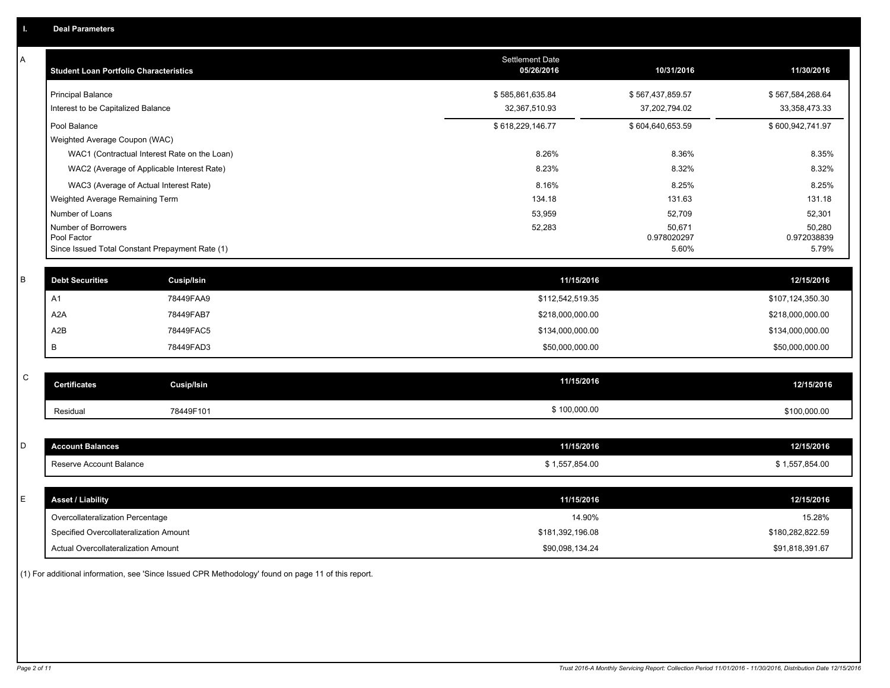| Α           | <b>Student Loan Portfolio Characteristics</b>   |                                              | <b>Settlement Date</b><br>05/26/2016 | 10/31/2016            | 11/30/2016            |
|-------------|-------------------------------------------------|----------------------------------------------|--------------------------------------|-----------------------|-----------------------|
|             | <b>Principal Balance</b>                        |                                              | \$585,861,635.84                     | \$567,437,859.57      | \$567,584,268.64      |
|             | Interest to be Capitalized Balance              |                                              | 32,367,510.93                        | 37,202,794.02         | 33, 358, 473. 33      |
|             | Pool Balance                                    |                                              | \$618,229,146.77                     | \$604,640,653.59      | \$600,942,741.97      |
|             | Weighted Average Coupon (WAC)                   |                                              |                                      |                       |                       |
|             |                                                 | WAC1 (Contractual Interest Rate on the Loan) | 8.26%                                | 8.36%                 | 8.35%                 |
|             | WAC2 (Average of Applicable Interest Rate)      |                                              | 8.23%                                | 8.32%                 | 8.32%                 |
|             | WAC3 (Average of Actual Interest Rate)          |                                              | 8.16%                                | 8.25%                 | 8.25%                 |
|             | Weighted Average Remaining Term                 |                                              | 134.18                               | 131.63                | 131.18                |
|             | Number of Loans                                 |                                              | 53,959                               | 52,709                | 52,301                |
|             | Number of Borrowers<br>Pool Factor              |                                              | 52,283                               | 50,671<br>0.978020297 | 50,280<br>0.972038839 |
|             | Since Issued Total Constant Prepayment Rate (1) |                                              |                                      | 5.60%                 | 5.79%                 |
|             |                                                 |                                              |                                      |                       |                       |
| B           | <b>Debt Securities</b>                          | <b>Cusip/Isin</b>                            | 11/15/2016                           |                       | 12/15/2016            |
|             | A1                                              | 78449FAA9                                    | \$112,542,519.35                     |                       | \$107,124,350.30      |
|             | A <sub>2</sub> A                                | 78449FAB7                                    | \$218,000,000.00                     |                       | \$218,000,000.00      |
|             | A2B                                             | 78449FAC5                                    | \$134,000,000.00                     |                       | \$134,000,000.00      |
|             | B                                               | 78449FAD3                                    | \$50,000,000.00                      |                       | \$50,000,000.00       |
|             |                                                 |                                              |                                      |                       |                       |
| $\mathsf C$ | <b>Certificates</b>                             | Cusip/Isin                                   | 11/15/2016                           |                       | 12/15/2016            |
|             | Residual                                        | 78449F101                                    | \$100,000.00                         |                       | \$100,000.00          |
|             |                                                 |                                              |                                      |                       |                       |
| D           | <b>Account Balances</b>                         |                                              | 11/15/2016                           |                       | 12/15/2016            |
|             | Reserve Account Balance                         |                                              | \$1,557,854.00                       |                       | \$1,557,854.00        |
|             |                                                 |                                              |                                      |                       |                       |
| E           | <b>Asset / Liability</b>                        |                                              | 11/15/2016                           |                       | 12/15/2016            |
|             | Overcollateralization Percentage                |                                              | 14.90%                               |                       | 15.28%                |
|             | Specified Overcollateralization Amount          |                                              | \$181,392,196.08                     |                       | \$180,282,822.59      |
|             | Actual Overcollateralization Amount             |                                              | \$90,098,134.24                      |                       | \$91,818,391.67       |

(1) For additional information, see 'Since Issued CPR Methodology' found on page 11 of this report.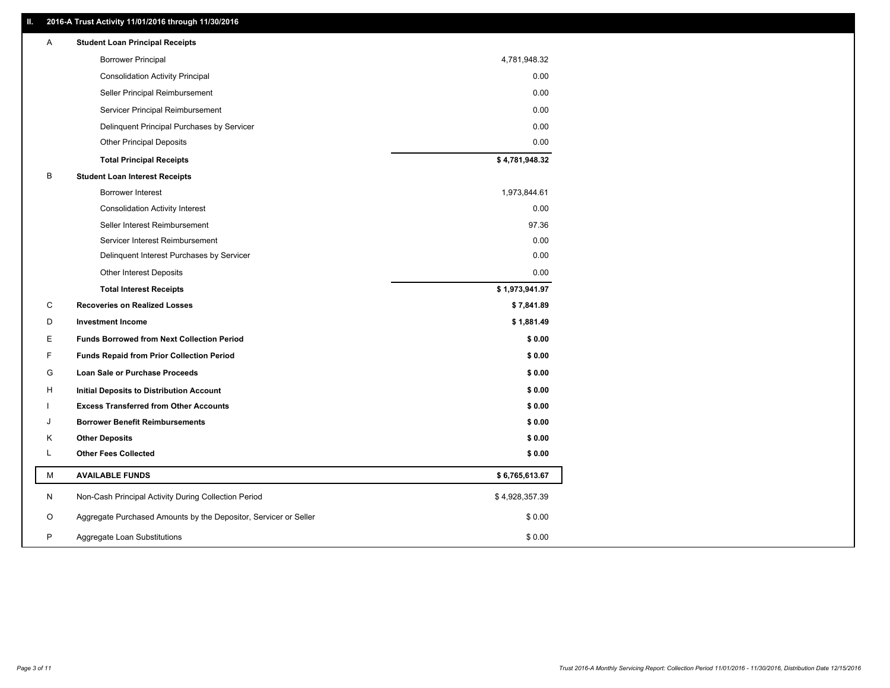### **II. 2016-A Trust Activity 11/01/2016 through 11/30/2016**

| Α            | <b>Student Loan Principal Receipts</b>                           |                |
|--------------|------------------------------------------------------------------|----------------|
|              | <b>Borrower Principal</b>                                        | 4,781,948.32   |
|              | <b>Consolidation Activity Principal</b>                          | 0.00           |
|              | Seller Principal Reimbursement                                   | 0.00           |
|              | Servicer Principal Reimbursement                                 | 0.00           |
|              | Delinquent Principal Purchases by Servicer                       | 0.00           |
|              | <b>Other Principal Deposits</b>                                  | 0.00           |
|              | <b>Total Principal Receipts</b>                                  | \$4,781,948.32 |
| B            | <b>Student Loan Interest Receipts</b>                            |                |
|              | Borrower Interest                                                | 1,973,844.61   |
|              | <b>Consolidation Activity Interest</b>                           | 0.00           |
|              | Seller Interest Reimbursement                                    | 97.36          |
|              | Servicer Interest Reimbursement                                  | 0.00           |
|              | Delinquent Interest Purchases by Servicer                        | 0.00           |
|              | <b>Other Interest Deposits</b>                                   | 0.00           |
|              | <b>Total Interest Receipts</b>                                   | \$1,973,941.97 |
| C            | <b>Recoveries on Realized Losses</b>                             | \$7,841.89     |
| D            | <b>Investment Income</b>                                         | \$1,881.49     |
| E            | <b>Funds Borrowed from Next Collection Period</b>                | \$0.00         |
| F            | <b>Funds Repaid from Prior Collection Period</b>                 | \$0.00         |
| G            | Loan Sale or Purchase Proceeds                                   | \$0.00         |
| н            | Initial Deposits to Distribution Account                         | \$0.00         |
|              | <b>Excess Transferred from Other Accounts</b>                    | \$0.00         |
| J            | <b>Borrower Benefit Reimbursements</b>                           | \$0.00         |
| Κ            | <b>Other Deposits</b>                                            | \$0.00         |
| L            | <b>Other Fees Collected</b>                                      | \$0.00         |
| M            | <b>AVAILABLE FUNDS</b>                                           | \$6,765,613.67 |
| N            | Non-Cash Principal Activity During Collection Period             | \$4,928,357.39 |
| O            | Aggregate Purchased Amounts by the Depositor, Servicer or Seller | \$0.00         |
| $\mathsf{P}$ | Aggregate Loan Substitutions                                     | \$0.00         |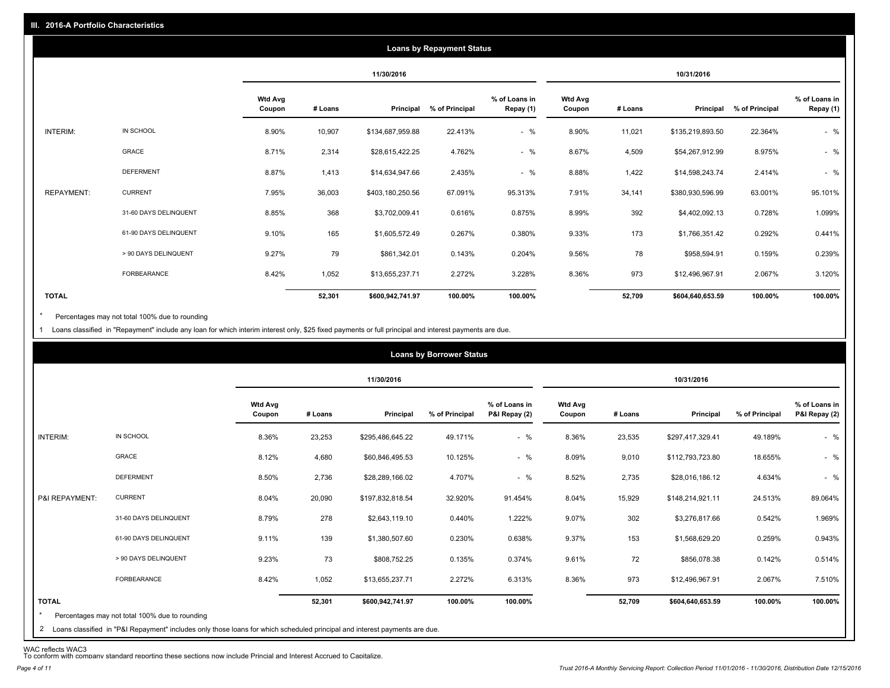|              |                       |                          |         |                  | <b>Loans by Repayment Status</b> |                            |                          |         |                  |                |                            |
|--------------|-----------------------|--------------------------|---------|------------------|----------------------------------|----------------------------|--------------------------|---------|------------------|----------------|----------------------------|
|              |                       |                          |         | 11/30/2016       |                                  |                            |                          |         | 10/31/2016       |                |                            |
|              |                       | <b>Wtd Avg</b><br>Coupon | # Loans | Principal        | % of Principal                   | % of Loans in<br>Repay (1) | <b>Wtd Avg</b><br>Coupon | # Loans | Principal        | % of Principal | % of Loans in<br>Repay (1) |
| INTERIM:     | IN SCHOOL             | 8.90%                    | 10,907  | \$134,687,959.88 | 22.413%                          | $-$ %                      | 8.90%                    | 11,021  | \$135,219,893.50 | 22.364%        | $-$ %                      |
|              | GRACE                 | 8.71%                    | 2,314   | \$28,615,422.25  | 4.762%                           | $-$ %                      | 8.67%                    | 4,509   | \$54,267,912.99  | 8.975%         | $-$ %                      |
|              | <b>DEFERMENT</b>      | 8.87%                    | 1,413   | \$14,634,947.66  | 2.435%                           | $-$ %                      | 8.88%                    | 1,422   | \$14,598,243.74  | 2.414%         | $-$ %                      |
| REPAYMENT:   | <b>CURRENT</b>        | 7.95%                    | 36,003  | \$403,180,250.56 | 67.091%                          | 95.313%                    | 7.91%                    | 34,141  | \$380,930,596.99 | 63.001%        | 95.101%                    |
|              | 31-60 DAYS DELINQUENT | 8.85%                    | 368     | \$3,702,009.41   | 0.616%                           | 0.875%                     | 8.99%                    | 392     | \$4,402,092.13   | 0.728%         | 1.099%                     |
|              | 61-90 DAYS DELINQUENT | 9.10%                    | 165     | \$1,605,572.49   | 0.267%                           | 0.380%                     | 9.33%                    | 173     | \$1,766,351.42   | 0.292%         | 0.441%                     |
|              | > 90 DAYS DELINQUENT  | 9.27%                    | 79      | \$861,342.01     | 0.143%                           | 0.204%                     | 9.56%                    | 78      | \$958,594.91     | 0.159%         | 0.239%                     |
|              | <b>FORBEARANCE</b>    | 8.42%                    | 1,052   | \$13,655,237.71  | 2.272%                           | 3.228%                     | 8.36%                    | 973     | \$12,496,967.91  | 2.067%         | 3.120%                     |
| <b>TOTAL</b> |                       |                          | 52,301  | \$600,942,741.97 | 100.00%                          | 100.00%                    |                          | 52,709  | \$604,640,653.59 | 100.00%        | 100.00%                    |

Percentages may not total 100% due to rounding \*

1 Loans classified in "Repayment" include any loan for which interim interest only, \$25 fixed payments or full principal and interest payments are due.

|                |                       |                          |         | 11/30/2016       |                |                                |                          |         | 10/31/2016       |                |                                |
|----------------|-----------------------|--------------------------|---------|------------------|----------------|--------------------------------|--------------------------|---------|------------------|----------------|--------------------------------|
|                |                       | <b>Wtd Avg</b><br>Coupon | # Loans | Principal        | % of Principal | % of Loans in<br>P&I Repay (2) | <b>Wtd Avg</b><br>Coupon | # Loans | Principal        | % of Principal | % of Loans in<br>P&I Repay (2) |
| INTERIM:       | IN SCHOOL             | 8.36%                    | 23,253  | \$295,486,645.22 | 49.171%        | $-$ %                          | 8.36%                    | 23,535  | \$297,417,329.41 | 49.189%        | $-$ %                          |
|                | GRACE                 | 8.12%                    | 4,680   | \$60,846,495.53  | 10.125%        | $-$ %                          | 8.09%                    | 9,010   | \$112,793,723.80 | 18.655%        | $-$ %                          |
|                | <b>DEFERMENT</b>      | 8.50%                    | 2,736   | \$28,289,166.02  | 4.707%         | $-$ %                          | 8.52%                    | 2,735   | \$28,016,186.12  | 4.634%         | $-$ %                          |
| P&I REPAYMENT: | <b>CURRENT</b>        | 8.04%                    | 20,090  | \$197,832,818.54 | 32.920%        | 91.454%                        | 8.04%                    | 15,929  | \$148,214,921.11 | 24.513%        | 89.064%                        |
|                | 31-60 DAYS DELINQUENT | 8.79%                    | 278     | \$2,643,119.10   | 0.440%         | 1.222%                         | 9.07%                    | 302     | \$3,276,817.66   | 0.542%         | 1.969%                         |
|                | 61-90 DAYS DELINQUENT | 9.11%                    | 139     | \$1,380,507.60   | 0.230%         | 0.638%                         | 9.37%                    | 153     | \$1,568,629.20   | 0.259%         | 0.943%                         |
|                | > 90 DAYS DELINQUENT  | 9.23%                    | 73      | \$808,752.25     | 0.135%         | 0.374%                         | 9.61%                    | 72      | \$856,078.38     | 0.142%         | 0.514%                         |
|                | FORBEARANCE           | 8.42%                    | 1,052   | \$13,655,237.71  | 2.272%         | 6.313%                         | 8.36%                    | 973     | \$12,496,967.91  | 2.067%         | 7.510%                         |
| <b>TOTAL</b>   |                       |                          | 52,301  | \$600,942,741.97 | 100.00%        | 100.00%                        |                          | 52,709  | \$604,640,653.59 | 100.00%        | 100.00%                        |

WAC reflects WAC3 To conform with company standard reporting these sections now include Princial and Interest Accrued to Capitalize.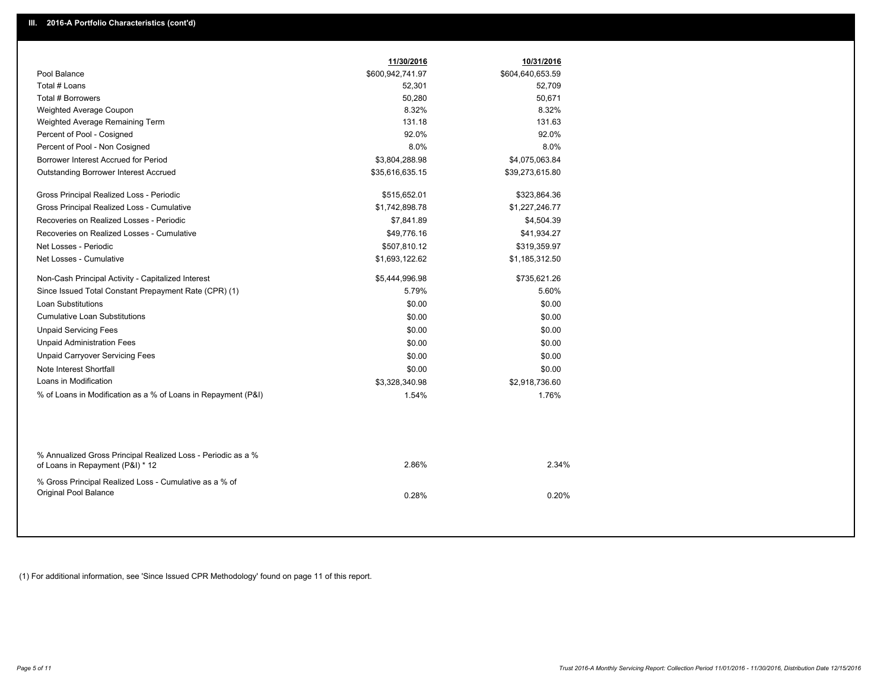|                                                                                                  | 11/30/2016       | 10/31/2016       |  |
|--------------------------------------------------------------------------------------------------|------------------|------------------|--|
| Pool Balance                                                                                     | \$600,942,741.97 | \$604,640,653.59 |  |
| Total # Loans                                                                                    | 52,301           | 52,709           |  |
| Total # Borrowers                                                                                | 50,280           | 50,671           |  |
| Weighted Average Coupon                                                                          | 8.32%            | 8.32%            |  |
| Weighted Average Remaining Term                                                                  | 131.18           | 131.63           |  |
| Percent of Pool - Cosigned                                                                       | 92.0%            | 92.0%            |  |
| Percent of Pool - Non Cosigned                                                                   | 8.0%             | 8.0%             |  |
| Borrower Interest Accrued for Period                                                             | \$3,804,288.98   | \$4,075,063.84   |  |
| <b>Outstanding Borrower Interest Accrued</b>                                                     | \$35,616,635.15  | \$39,273,615.80  |  |
| Gross Principal Realized Loss - Periodic                                                         | \$515,652.01     | \$323,864.36     |  |
| Gross Principal Realized Loss - Cumulative                                                       | \$1,742,898.78   | \$1,227,246.77   |  |
| Recoveries on Realized Losses - Periodic                                                         | \$7,841.89       | \$4,504.39       |  |
| Recoveries on Realized Losses - Cumulative                                                       | \$49,776.16      | \$41,934.27      |  |
| Net Losses - Periodic                                                                            | \$507,810.12     | \$319,359.97     |  |
| Net Losses - Cumulative                                                                          | \$1,693,122.62   | \$1,185,312.50   |  |
| Non-Cash Principal Activity - Capitalized Interest                                               | \$5,444,996.98   | \$735,621.26     |  |
| Since Issued Total Constant Prepayment Rate (CPR) (1)                                            | 5.79%            | 5.60%            |  |
| <b>Loan Substitutions</b>                                                                        | \$0.00           | \$0.00           |  |
| <b>Cumulative Loan Substitutions</b>                                                             | \$0.00           | \$0.00           |  |
| <b>Unpaid Servicing Fees</b>                                                                     | \$0.00           | \$0.00           |  |
| <b>Unpaid Administration Fees</b>                                                                | \$0.00           | \$0.00           |  |
| <b>Unpaid Carryover Servicing Fees</b>                                                           | \$0.00           | \$0.00           |  |
| Note Interest Shortfall                                                                          | \$0.00           | \$0.00           |  |
| Loans in Modification                                                                            | \$3,328,340.98   | \$2,918,736.60   |  |
| % of Loans in Modification as a % of Loans in Repayment (P&I)                                    | 1.54%            | 1.76%            |  |
|                                                                                                  |                  |                  |  |
| % Annualized Gross Principal Realized Loss - Periodic as a %<br>of Loans in Repayment (P&I) * 12 | 2.86%            | 2.34%            |  |
| % Gross Principal Realized Loss - Cumulative as a % of<br>Original Pool Balance                  | 0.28%            | 0.20%            |  |
|                                                                                                  |                  |                  |  |

(1) For additional information, see 'Since Issued CPR Methodology' found on page 11 of this report.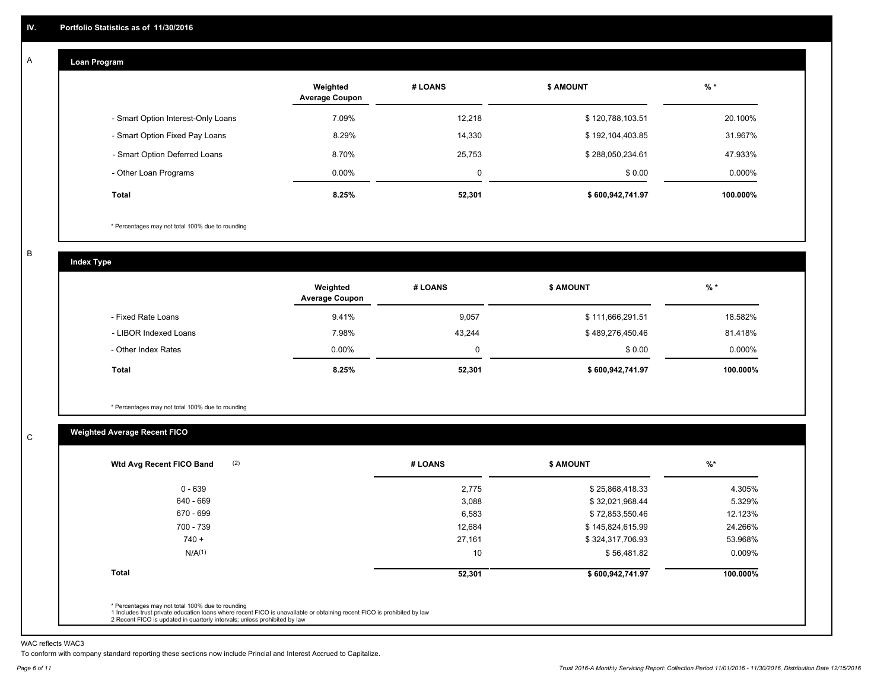#### **Loan Program**  A

|                                    | Weighted<br><b>Average Coupon</b> | # LOANS | <b>\$ AMOUNT</b> | $%$ *     |
|------------------------------------|-----------------------------------|---------|------------------|-----------|
| - Smart Option Interest-Only Loans | 7.09%                             | 12.218  | \$120,788,103.51 | 20.100%   |
| - Smart Option Fixed Pay Loans     | 8.29%                             | 14,330  | \$192,104,403.85 | 31.967%   |
| - Smart Option Deferred Loans      | 8.70%                             | 25,753  | \$288,050,234.61 | 47.933%   |
| - Other Loan Programs              | $0.00\%$                          | 0       | \$0.00           | $0.000\%$ |
| Total                              | 8.25%                             | 52,301  | \$600,942,741.97 | 100.000%  |

\* Percentages may not total 100% due to rounding

B

C

**Index Type**

|                       | Weighted<br><b>Average Coupon</b> | # LOANS | <b>S AMOUNT</b>  | $%$ *     |
|-----------------------|-----------------------------------|---------|------------------|-----------|
| - Fixed Rate Loans    | 9.41%                             | 9,057   | \$111,666,291.51 | 18.582%   |
| - LIBOR Indexed Loans | 7.98%                             | 43,244  | \$489,276,450.46 | 81.418%   |
| - Other Index Rates   | $0.00\%$                          |         | \$0.00           | $0.000\%$ |
| <b>Total</b>          | 8.25%                             | 52,301  | \$600,942,741.97 | 100.000%  |

\* Percentages may not total 100% due to rounding

### **Weighted Average Recent FICO**

| $0 - 639$          | 2,775  | \$25,868,418.33  | 4.305%   |
|--------------------|--------|------------------|----------|
| 640 - 669          | 3,088  | \$32,021,968.44  | 5.329%   |
| 670 - 699          | 6,583  | \$72,853,550.46  | 12.123%  |
| 700 - 739          | 12,684 | \$145,824,615.99 | 24.266%  |
| $740 +$            | 27,161 | \$324,317,706.93 | 53.968%  |
| N/A <sup>(1)</sup> | 10     | \$56,481.82      | 0.009%   |
| <b>Total</b>       | 52,301 | \$600,942,741.97 | 100.000% |
|                    |        |                  |          |

WAC reflects WAC3

To conform with company standard reporting these sections now include Princial and Interest Accrued to Capitalize.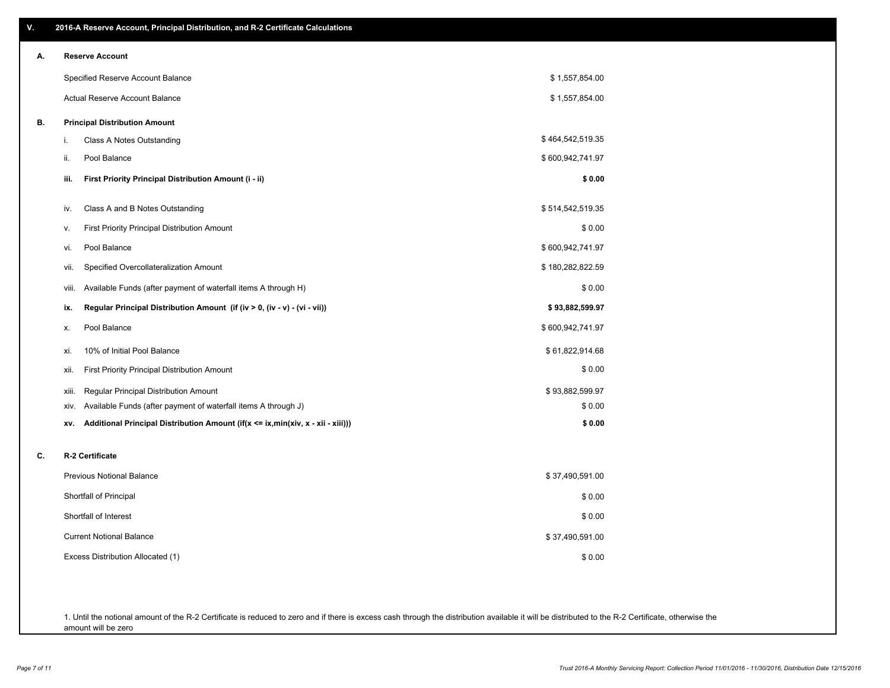| ۷. | 2016-A Reserve Account, Principal Distribution, and R-2 Certificate Calculations       |                  |
|----|----------------------------------------------------------------------------------------|------------------|
| А. | <b>Reserve Account</b>                                                                 |                  |
|    | Specified Reserve Account Balance                                                      | \$1,557,854.00   |
|    | Actual Reserve Account Balance                                                         | \$1,557,854.00   |
| В. | <b>Principal Distribution Amount</b>                                                   |                  |
|    | i.<br>Class A Notes Outstanding                                                        | \$464,542,519.35 |
|    | ii.<br>Pool Balance                                                                    | \$600,942,741.97 |
|    | First Priority Principal Distribution Amount (i - ii)<br>iii.                          | \$0.00           |
|    | Class A and B Notes Outstanding<br>iv.                                                 | \$514,542,519.35 |
|    | <b>First Priority Principal Distribution Amount</b><br>v.                              | \$0.00           |
|    | Pool Balance<br>vi.                                                                    | \$600,942,741.97 |
|    | Specified Overcollateralization Amount<br>vii.                                         | \$180,282,822.59 |
|    | Available Funds (after payment of waterfall items A through H)<br>Viii.                | \$0.00           |
|    | Regular Principal Distribution Amount (if (iv > 0, (iv - v) - (vi - vii))<br>ix.       | \$93,882,599.97  |
|    | Pool Balance<br>Х.                                                                     | \$600,942,741.97 |
|    | 10% of Initial Pool Balance<br>xi.                                                     | \$61,822,914.68  |
|    | First Priority Principal Distribution Amount<br>xii.                                   | \$0.00           |
|    | Regular Principal Distribution Amount<br>xiii.                                         | \$93,882,599.97  |
|    | Available Funds (after payment of waterfall items A through J)<br>XIV.                 | \$0.00           |
|    | Additional Principal Distribution Amount (if(x <= ix,min(xiv, x - xii - xiii)))<br>XV. | \$0.00           |
| c. | R-2 Certificate                                                                        |                  |
|    | <b>Previous Notional Balance</b>                                                       | \$37,490,591.00  |
|    | Shortfall of Principal                                                                 | \$0.00           |
|    | Shortfall of Interest                                                                  | \$0.00           |
|    | <b>Current Notional Balance</b>                                                        | \$37,490,591.00  |
|    | Excess Distribution Allocated (1)                                                      | \$0.00           |
|    |                                                                                        |                  |
|    |                                                                                        |                  |

1. Until the notional amount of the R-2 Certificate is reduced to zero and if there is excess cash through the distribution available it will be distributed to the R-2 Certificate, otherwise the amount will be zero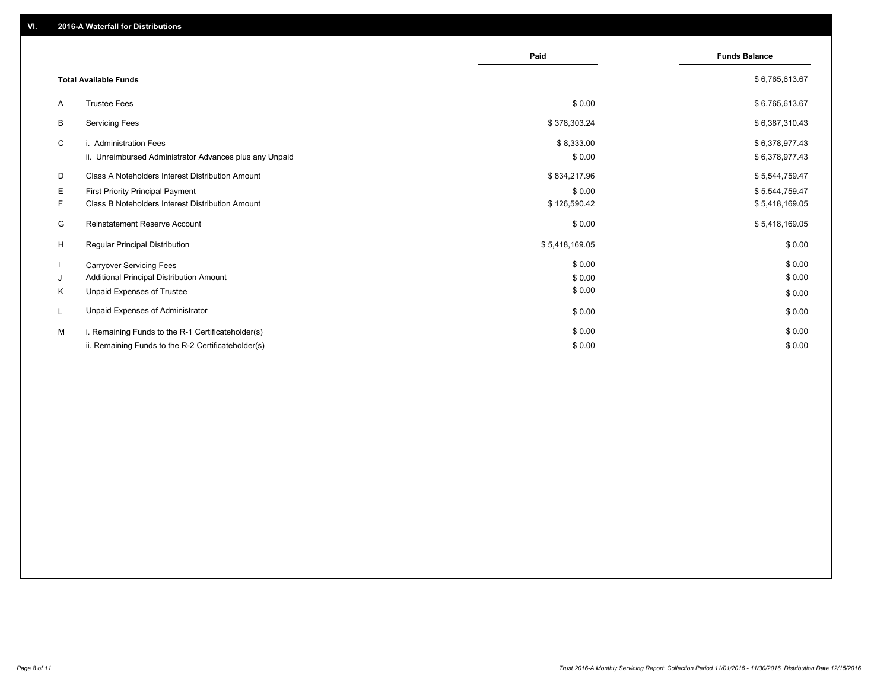|                                                         | Paid           | <b>Funds Balance</b> |
|---------------------------------------------------------|----------------|----------------------|
| <b>Total Available Funds</b>                            |                | \$6,765,613.67       |
| <b>Trustee Fees</b><br>A                                | \$0.00         | \$6,765,613.67       |
| B<br><b>Servicing Fees</b>                              | \$378,303.24   | \$6,387,310.43       |
| C<br>i. Administration Fees                             | \$8,333.00     | \$6,378,977.43       |
| ii. Unreimbursed Administrator Advances plus any Unpaid | \$0.00         | \$6,378,977.43       |
| D<br>Class A Noteholders Interest Distribution Amount   | \$834,217.96   | \$5,544,759.47       |
| E<br><b>First Priority Principal Payment</b>            | \$0.00         | \$5,544,759.47       |
| F.<br>Class B Noteholders Interest Distribution Amount  | \$126,590.42   | \$5,418,169.05       |
| G<br><b>Reinstatement Reserve Account</b>               | \$0.00         | \$5,418,169.05       |
| H<br><b>Regular Principal Distribution</b>              | \$5,418,169.05 | \$0.00               |
| <b>Carryover Servicing Fees</b>                         | \$0.00         | \$0.00               |
| Additional Principal Distribution Amount<br>J           | \$0.00         | \$0.00               |
| Unpaid Expenses of Trustee<br>K                         | \$0.00         | \$0.00               |
| Unpaid Expenses of Administrator<br>L                   | \$0.00         | \$0.00               |
| м<br>i. Remaining Funds to the R-1 Certificateholder(s) | \$0.00         | \$0.00               |
| ii. Remaining Funds to the R-2 Certificateholder(s)     | \$0.00         | \$0.00               |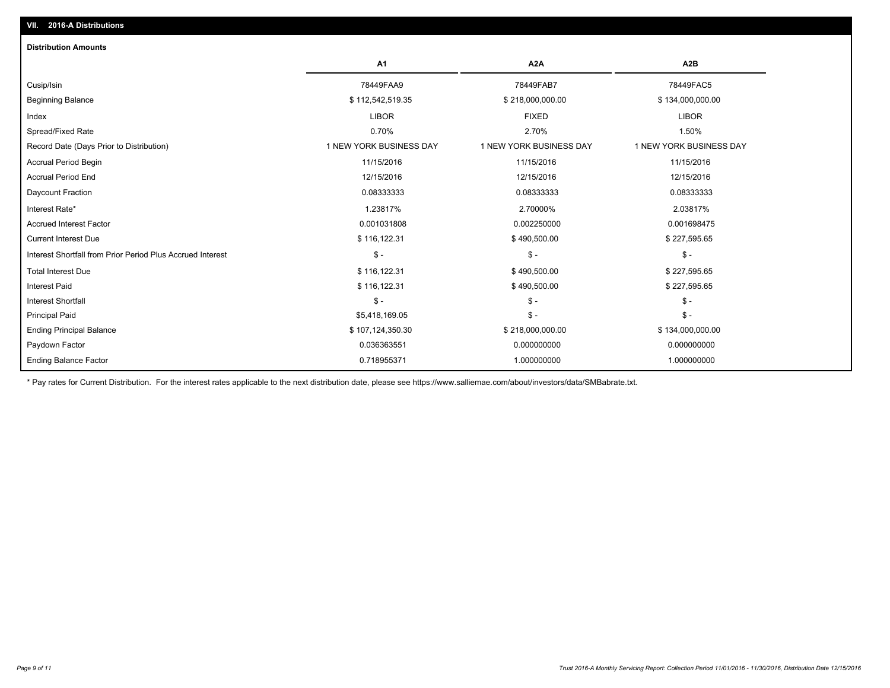| <b>Distribution Amounts</b>                                |                         |                         |                         |
|------------------------------------------------------------|-------------------------|-------------------------|-------------------------|
|                                                            | A1                      | A2A                     | A2B                     |
| Cusip/Isin                                                 | 78449FAA9               | 78449FAB7               | 78449FAC5               |
| <b>Beginning Balance</b>                                   | \$112,542,519.35        | \$218,000,000.00        | \$134,000,000.00        |
| Index                                                      | <b>LIBOR</b>            | <b>FIXED</b>            | <b>LIBOR</b>            |
| Spread/Fixed Rate                                          | 0.70%                   | 2.70%                   | 1.50%                   |
| Record Date (Days Prior to Distribution)                   | 1 NEW YORK BUSINESS DAY | 1 NEW YORK BUSINESS DAY | 1 NEW YORK BUSINESS DAY |
| <b>Accrual Period Begin</b>                                | 11/15/2016              | 11/15/2016              | 11/15/2016              |
| <b>Accrual Period End</b>                                  | 12/15/2016              | 12/15/2016              | 12/15/2016              |
| Daycount Fraction                                          | 0.08333333              | 0.08333333              | 0.08333333              |
| Interest Rate*                                             | 1.23817%                | 2.70000%                | 2.03817%                |
| <b>Accrued Interest Factor</b>                             | 0.001031808             | 0.002250000             | 0.001698475             |
| <b>Current Interest Due</b>                                | \$116,122.31            | \$490,500.00            | \$227,595.65            |
| Interest Shortfall from Prior Period Plus Accrued Interest | $\mathsf S$ -           | $\mathsf{\$}$ -         | $S -$                   |
| <b>Total Interest Due</b>                                  | \$116,122.31            | \$490,500.00            | \$227,595.65            |
| <b>Interest Paid</b>                                       | \$116,122.31            | \$490,500.00            | \$227,595.65            |
| <b>Interest Shortfall</b>                                  | $\mathsf{\$}$ -         | $\mathsf{\$}$ -         | $$ -$                   |
| <b>Principal Paid</b>                                      | \$5,418,169.05          | $\frac{2}{3}$ -         | $S -$                   |
| <b>Ending Principal Balance</b>                            | \$107,124,350.30        | \$218,000,000.00        | \$134,000,000.00        |
| Paydown Factor                                             | 0.036363551             | 0.000000000             | 0.000000000             |
| <b>Ending Balance Factor</b>                               | 0.718955371             | 1.000000000             | 1.000000000             |

\* Pay rates for Current Distribution. For the interest rates applicable to the next distribution date, please see https://www.salliemae.com/about/investors/data/SMBabrate.txt.

**VII. 2016-A Distributions**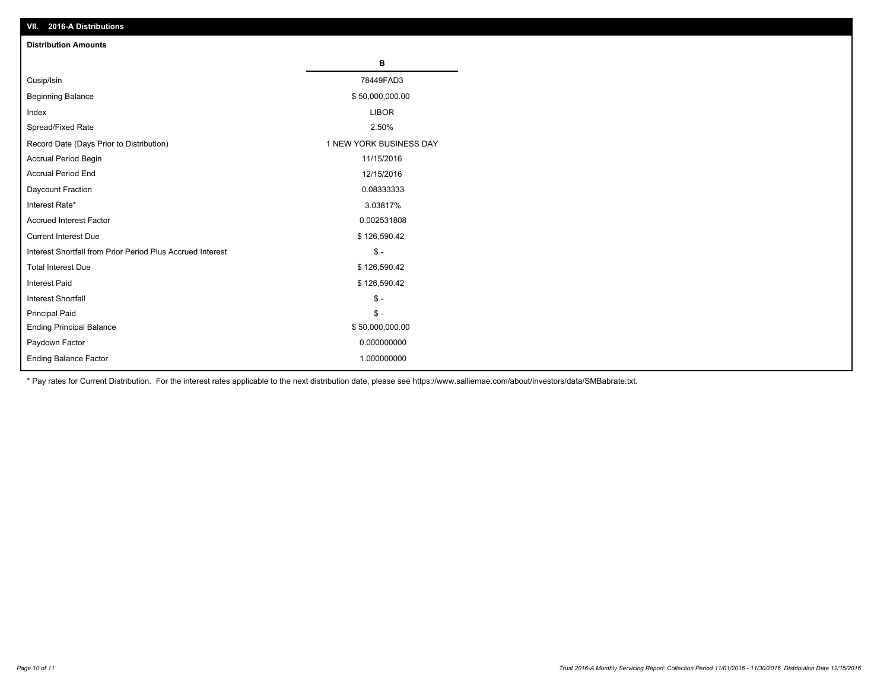| VII. 2016-A Distributions                                  |                         |
|------------------------------------------------------------|-------------------------|
| <b>Distribution Amounts</b>                                |                         |
|                                                            | в                       |
| Cusip/Isin                                                 | 78449FAD3               |
| <b>Beginning Balance</b>                                   | \$50,000,000.00         |
| Index                                                      | <b>LIBOR</b>            |
| Spread/Fixed Rate                                          | 2.50%                   |
| Record Date (Days Prior to Distribution)                   | 1 NEW YORK BUSINESS DAY |
| Accrual Period Begin                                       | 11/15/2016              |
| <b>Accrual Period End</b>                                  | 12/15/2016              |
| Daycount Fraction                                          | 0.08333333              |
| Interest Rate*                                             | 3.03817%                |
| <b>Accrued Interest Factor</b>                             | 0.002531808             |
| <b>Current Interest Due</b>                                | \$126,590.42            |
| Interest Shortfall from Prior Period Plus Accrued Interest | $$ -$                   |
| <b>Total Interest Due</b>                                  | \$126,590.42            |
| <b>Interest Paid</b>                                       | \$126,590.42            |
| <b>Interest Shortfall</b>                                  | $\frac{2}{3}$ -         |
| <b>Principal Paid</b>                                      | $\frac{2}{3}$ -         |
| <b>Ending Principal Balance</b>                            | \$50,000,000.00         |
| Paydown Factor                                             | 0.000000000             |
| <b>Ending Balance Factor</b>                               | 1.000000000             |

\* Pay rates for Current Distribution. For the interest rates applicable to the next distribution date, please see https://www.salliemae.com/about/investors/data/SMBabrate.txt.